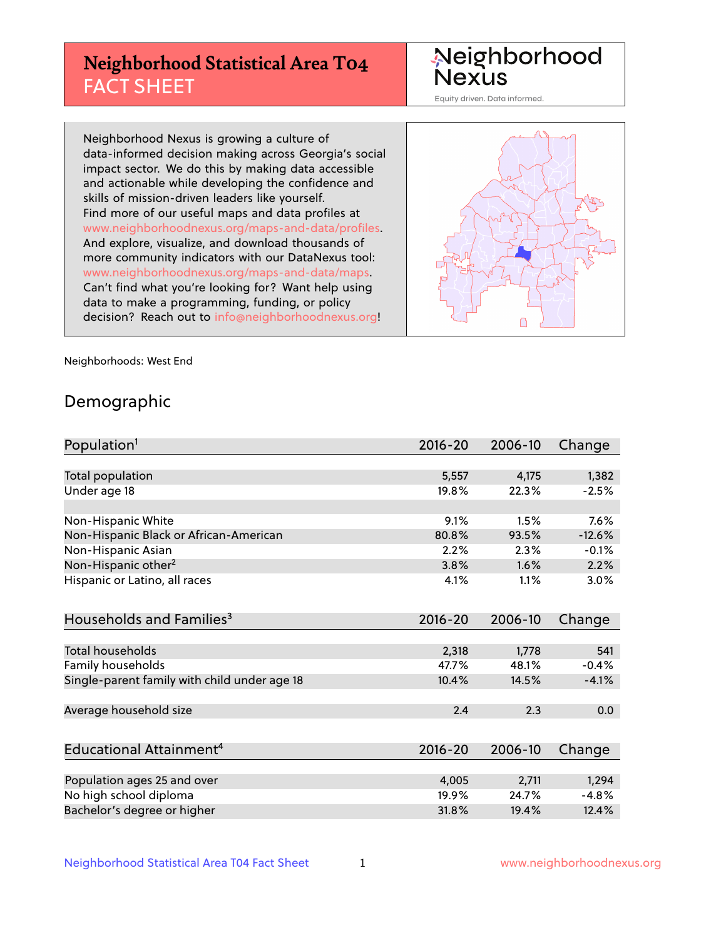# **Neighborhood Statistical Area T04** FACT SHEET

Neighborhood Nexus

Equity driven. Data informed.

Neighborhood Nexus is growing a culture of data-informed decision making across Georgia's social impact sector. We do this by making data accessible and actionable while developing the confidence and skills of mission-driven leaders like yourself. Find more of our useful maps and data profiles at www.neighborhoodnexus.org/maps-and-data/profiles. And explore, visualize, and download thousands of more community indicators with our DataNexus tool: www.neighborhoodnexus.org/maps-and-data/maps. Can't find what you're looking for? Want help using data to make a programming, funding, or policy decision? Reach out to [info@neighborhoodnexus.org!](mailto:info@neighborhoodnexus.org)



Neighborhoods: West End

### Demographic

| Population <sup>1</sup>                      | $2016 - 20$ | 2006-10 | Change   |
|----------------------------------------------|-------------|---------|----------|
|                                              |             |         |          |
| Total population                             | 5,557       | 4,175   | 1,382    |
| Under age 18                                 | 19.8%       | 22.3%   | $-2.5%$  |
|                                              |             |         |          |
| Non-Hispanic White                           | 9.1%        | 1.5%    | 7.6%     |
| Non-Hispanic Black or African-American       | 80.8%       | 93.5%   | $-12.6%$ |
| Non-Hispanic Asian                           | 2.2%        | 2.3%    | $-0.1%$  |
| Non-Hispanic other <sup>2</sup>              | 3.8%        | 1.6%    | 2.2%     |
| Hispanic or Latino, all races                | 4.1%        | 1.1%    | 3.0%     |
| Households and Families <sup>3</sup>         | $2016 - 20$ | 2006-10 | Change   |
|                                              |             |         |          |
| <b>Total households</b>                      | 2,318       | 1,778   | 541      |
| Family households                            | 47.7%       | 48.1%   | $-0.4%$  |
| Single-parent family with child under age 18 | 10.4%       | 14.5%   | $-4.1%$  |
|                                              |             |         |          |
| Average household size                       | 2.4         | 2.3     | 0.0      |
|                                              |             |         |          |
| Educational Attainment <sup>4</sup>          | $2016 - 20$ | 2006-10 | Change   |
|                                              |             |         |          |
| Population ages 25 and over                  | 4,005       | 2,711   | 1,294    |
| No high school diploma                       | 19.9%       | 24.7%   | $-4.8%$  |
| Bachelor's degree or higher                  | 31.8%       | 19.4%   | 12.4%    |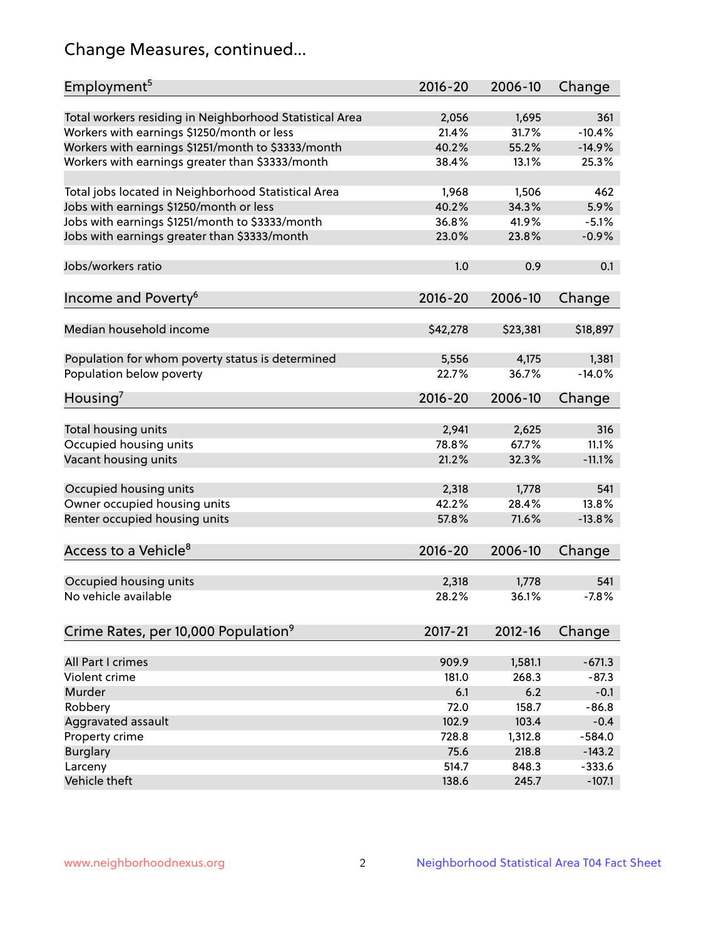# Change Measures, continued...

| Employment <sup>5</sup>                                 | $2016 - 20$    | 2006-10        | Change   |
|---------------------------------------------------------|----------------|----------------|----------|
|                                                         |                |                | 361      |
| Total workers residing in Neighborhood Statistical Area | 2,056<br>21.4% | 1,695<br>31.7% | $-10.4%$ |
| Workers with earnings \$1250/month or less              | 40.2%          | 55.2%          | $-14.9%$ |
| Workers with earnings \$1251/month to \$3333/month      | 38.4%          | 13.1%          | 25.3%    |
| Workers with earnings greater than \$3333/month         |                |                |          |
| Total jobs located in Neighborhood Statistical Area     | 1,968          | 1,506          | 462      |
| Jobs with earnings \$1250/month or less                 | 40.2%          | 34.3%          | 5.9%     |
| Jobs with earnings \$1251/month to \$3333/month         | 36.8%          | 41.9%          | $-5.1%$  |
| Jobs with earnings greater than \$3333/month            | 23.0%          | 23.8%          | $-0.9%$  |
|                                                         |                |                |          |
| Jobs/workers ratio                                      | 1.0            | 0.9            | 0.1      |
|                                                         |                |                |          |
| Income and Poverty <sup>6</sup>                         | 2016-20        | 2006-10        | Change   |
|                                                         |                |                |          |
| Median household income                                 | \$42,278       | \$23,381       | \$18,897 |
|                                                         |                |                |          |
| Population for whom poverty status is determined        | 5,556          | 4,175          | 1,381    |
| Population below poverty                                | 22.7%          | 36.7%          | $-14.0%$ |
|                                                         |                |                |          |
| Housing <sup>7</sup>                                    | $2016 - 20$    | 2006-10        | Change   |
|                                                         |                |                |          |
| Total housing units                                     | 2,941          | 2,625          | 316      |
| Occupied housing units                                  | 78.8%          | 67.7%          | 11.1%    |
| Vacant housing units                                    | 21.2%          | 32.3%          | $-11.1%$ |
|                                                         |                |                |          |
| Occupied housing units                                  | 2,318          | 1,778          | 541      |
| Owner occupied housing units                            | 42.2%          | 28.4%          | 13.8%    |
| Renter occupied housing units                           | 57.8%          | 71.6%          | $-13.8%$ |
|                                                         |                |                |          |
| Access to a Vehicle <sup>8</sup>                        | $2016 - 20$    | 2006-10        | Change   |
|                                                         |                |                |          |
| Occupied housing units                                  | 2,318          | 1,778          | 541      |
| No vehicle available                                    | 28.2%          | 36.1%          | $-7.8%$  |
|                                                         |                |                |          |
| Crime Rates, per 10,000 Population <sup>9</sup>         | 2017-21        | 2012-16        | Change   |
|                                                         |                |                |          |
| All Part I crimes                                       | 909.9          | 1,581.1        | $-671.3$ |
| Violent crime                                           | 181.0          | 268.3          | $-87.3$  |
| Murder                                                  | 6.1            | 6.2            | $-0.1$   |
| Robbery                                                 | 72.0           | 158.7          | $-86.8$  |
| Aggravated assault                                      | 102.9          | 103.4          | $-0.4$   |
| Property crime                                          | 728.8          | 1,312.8        | $-584.0$ |
| <b>Burglary</b>                                         | 75.6           | 218.8          | $-143.2$ |
| Larceny                                                 | 514.7          | 848.3          | $-333.6$ |
| Vehicle theft                                           | 138.6          | 245.7          | $-107.1$ |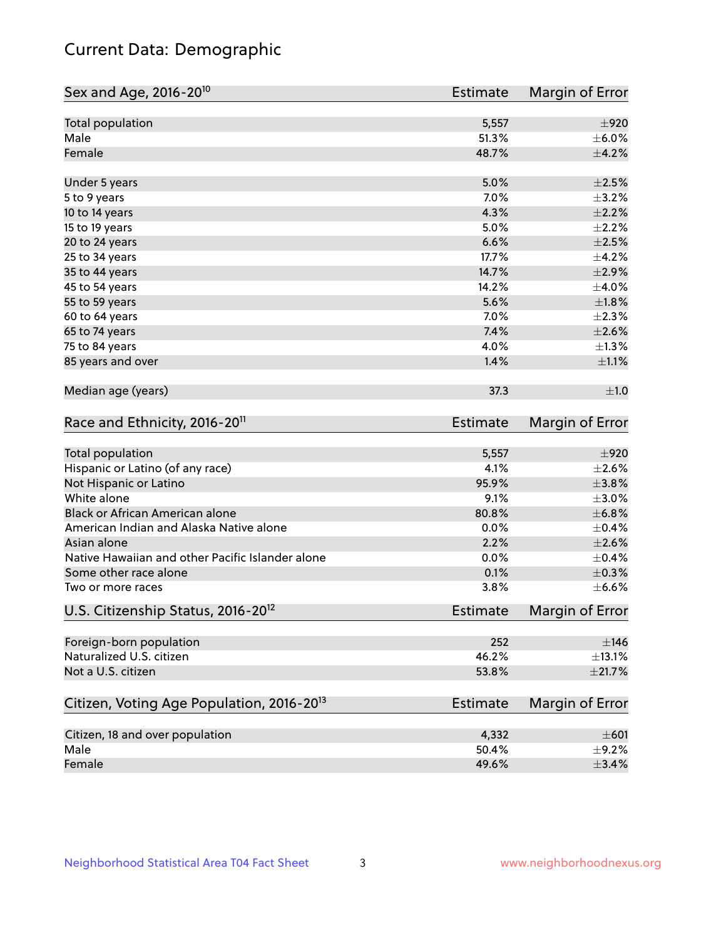# Current Data: Demographic

| Sex and Age, 2016-20 <sup>10</sup>                    | <b>Estimate</b> | Margin of Error |
|-------------------------------------------------------|-----------------|-----------------|
| Total population                                      | 5,557           | ±920            |
| Male                                                  | 51.3%           | $\pm$ 6.0%      |
| Female                                                | 48.7%           | $\pm 4.2\%$     |
| Under 5 years                                         | 5.0%            | $\pm 2.5\%$     |
| 5 to 9 years                                          | 7.0%            | $\pm$ 3.2%      |
| 10 to 14 years                                        | 4.3%            | $\pm 2.2\%$     |
| 15 to 19 years                                        | 5.0%            | $\pm 2.2\%$     |
| 20 to 24 years                                        | 6.6%            | $\pm 2.5\%$     |
| 25 to 34 years                                        | 17.7%           | $\pm$ 4.2%      |
| 35 to 44 years                                        | 14.7%           | $\pm 2.9\%$     |
| 45 to 54 years                                        | 14.2%           | $\pm$ 4.0%      |
| 55 to 59 years                                        | 5.6%            | $\pm 1.8\%$     |
| 60 to 64 years                                        | 7.0%            | $\pm 2.3\%$     |
| 65 to 74 years                                        | 7.4%            | $\pm 2.6\%$     |
| 75 to 84 years                                        | 4.0%            | $\pm 1.3\%$     |
| 85 years and over                                     | 1.4%            | $\pm 1.1\%$     |
| Median age (years)                                    | 37.3            | ±1.0            |
| Race and Ethnicity, 2016-20 <sup>11</sup>             | <b>Estimate</b> | Margin of Error |
| Total population                                      | 5,557           | ±920            |
| Hispanic or Latino (of any race)                      | 4.1%            | $\pm 2.6\%$     |
| Not Hispanic or Latino                                | 95.9%           | $\pm$ 3.8%      |
| White alone                                           | 9.1%            | $\pm 3.0\%$     |
| Black or African American alone                       | 80.8%           | ±6.8%           |
| American Indian and Alaska Native alone               | 0.0%            | $\pm$ 0.4%      |
| Asian alone                                           | 2.2%            | $\pm 2.6\%$     |
| Native Hawaiian and other Pacific Islander alone      | 0.0%            | $\pm$ 0.4%      |
| Some other race alone                                 | 0.1%            | $\pm$ 0.3%      |
| Two or more races                                     | 3.8%            | $\pm$ 6.6%      |
| U.S. Citizenship Status, 2016-20 <sup>12</sup>        | <b>Estimate</b> | Margin of Error |
| Foreign-born population                               | 252             | $\pm$ 146       |
| Naturalized U.S. citizen                              | 46.2%           | $\pm$ 13.1%     |
| Not a U.S. citizen                                    | 53.8%           | ±21.7%          |
| Citizen, Voting Age Population, 2016-20 <sup>13</sup> | <b>Estimate</b> | Margin of Error |
|                                                       |                 |                 |
| Citizen, 18 and over population                       | 4,332           | $\pm 601$       |
| Male                                                  | 50.4%           | $\pm$ 9.2%      |
| Female                                                | 49.6%           | $\pm$ 3.4%      |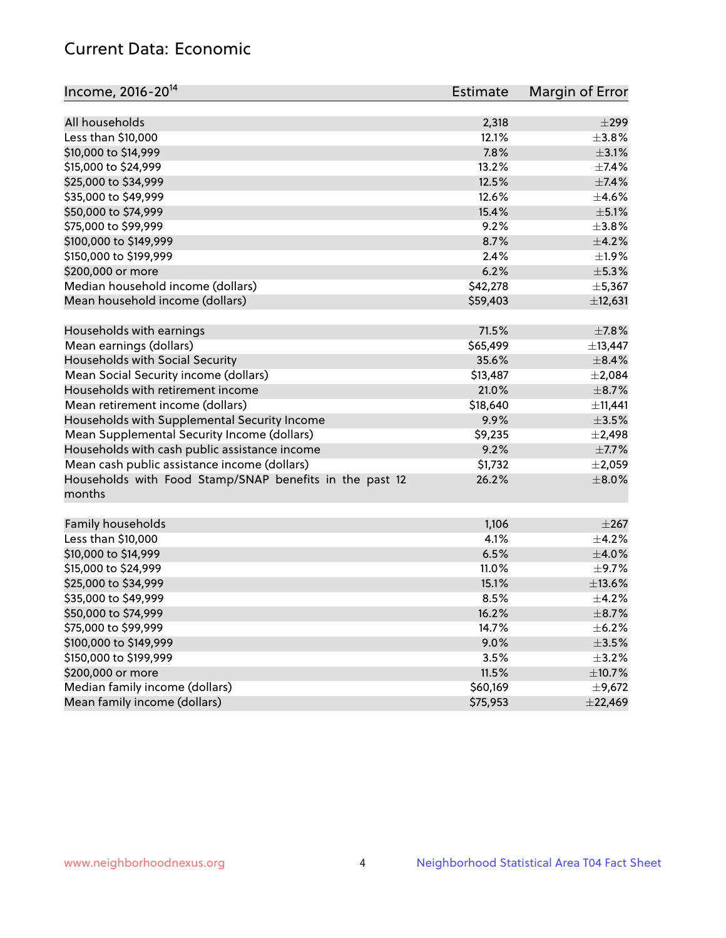# Current Data: Economic

| Income, 2016-20 <sup>14</sup>                           | Estimate | Margin of Error |
|---------------------------------------------------------|----------|-----------------|
|                                                         |          |                 |
| All households                                          | 2,318    | $\pm$ 299       |
| Less than \$10,000                                      | 12.1%    | $\pm$ 3.8%      |
| \$10,000 to \$14,999                                    | 7.8%     | $\pm$ 3.1%      |
| \$15,000 to \$24,999                                    | 13.2%    | $\pm$ 7.4%      |
| \$25,000 to \$34,999                                    | 12.5%    | $\pm$ 7.4%      |
| \$35,000 to \$49,999                                    | 12.6%    | $\pm 4.6\%$     |
| \$50,000 to \$74,999                                    | 15.4%    | $\pm$ 5.1%      |
| \$75,000 to \$99,999                                    | 9.2%     | $\pm$ 3.8%      |
| \$100,000 to \$149,999                                  | 8.7%     | $\pm$ 4.2%      |
| \$150,000 to \$199,999                                  | 2.4%     | $\pm 1.9\%$     |
| \$200,000 or more                                       | 6.2%     | $\pm$ 5.3%      |
| Median household income (dollars)                       | \$42,278 | ±5,367          |
| Mean household income (dollars)                         | \$59,403 | ±12,631         |
| Households with earnings                                | 71.5%    | $\pm$ 7.8%      |
| Mean earnings (dollars)                                 | \$65,499 | ±13,447         |
| Households with Social Security                         | 35.6%    | $\pm$ 8.4%      |
| Mean Social Security income (dollars)                   | \$13,487 | $\pm 2,084$     |
| Households with retirement income                       | 21.0%    | $\pm$ 8.7%      |
| Mean retirement income (dollars)                        | \$18,640 | ±11,441         |
| Households with Supplemental Security Income            | 9.9%     | $\pm$ 3.5%      |
| Mean Supplemental Security Income (dollars)             | \$9,235  | $\pm$ 2,498     |
| Households with cash public assistance income           | 9.2%     | $\pm$ 7.7%      |
| Mean cash public assistance income (dollars)            | \$1,732  | $\pm 2,059$     |
| Households with Food Stamp/SNAP benefits in the past 12 | 26.2%    | $\pm 8.0\%$     |
| months                                                  |          |                 |
| Family households                                       | 1,106    | $\pm 267$       |
| Less than \$10,000                                      | 4.1%     | $\pm$ 4.2%      |
| \$10,000 to \$14,999                                    | 6.5%     | $\pm$ 4.0%      |
| \$15,000 to \$24,999                                    | 11.0%    | $\pm$ 9.7%      |
| \$25,000 to \$34,999                                    | 15.1%    | ±13.6%          |
|                                                         |          |                 |
| \$35,000 to \$49,999                                    | 8.5%     | $\pm$ 4.2%      |
| \$50,000 to \$74,999                                    | 16.2%    | $\pm$ 8.7%      |
| \$75,000 to \$99,999                                    | 14.7%    | $\pm$ 6.2%      |
| \$100,000 to \$149,999                                  | 9.0%     | $\pm$ 3.5%      |
| \$150,000 to \$199,999                                  | 3.5%     | $\pm$ 3.2%      |
| \$200,000 or more                                       | 11.5%    | ±10.7%          |
| Median family income (dollars)                          | \$60,169 | $\pm$ 9,672     |
| Mean family income (dollars)                            | \$75,953 | ±22,469         |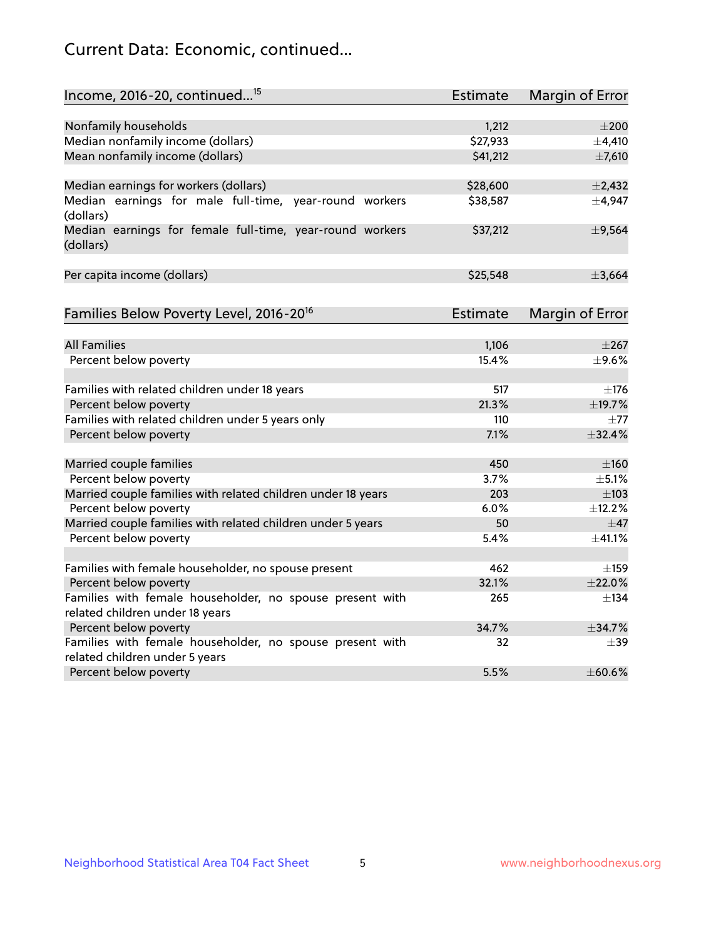# Current Data: Economic, continued...

| Income, 2016-20, continued <sup>15</sup>                              | <b>Estimate</b>   | Margin of Error          |
|-----------------------------------------------------------------------|-------------------|--------------------------|
|                                                                       |                   |                          |
| Nonfamily households<br>Median nonfamily income (dollars)             | 1,212<br>\$27,933 | $\pm 200$<br>$\pm$ 4,410 |
| Mean nonfamily income (dollars)                                       | \$41,212          | $\pm$ 7,610              |
|                                                                       |                   |                          |
| Median earnings for workers (dollars)                                 | \$28,600          | $\pm$ 2,432              |
| Median earnings for male full-time, year-round workers<br>(dollars)   | \$38,587          | ±4,947                   |
| Median earnings for female full-time, year-round workers<br>(dollars) | \$37,212          | ±9,564                   |
| Per capita income (dollars)                                           | \$25,548          | ±3,664                   |
| Families Below Poverty Level, 2016-20 <sup>16</sup>                   | <b>Estimate</b>   | <b>Margin of Error</b>   |
|                                                                       |                   |                          |
| <b>All Families</b>                                                   | 1,106             | $\pm 267$                |
| Percent below poverty                                                 | 15.4%             | $\pm$ 9.6%               |
| Families with related children under 18 years                         | 517               | $\pm$ 176                |
| Percent below poverty                                                 | 21.3%             | ±19.7%                   |
| Families with related children under 5 years only                     | 110               | $\pm 77$                 |
| Percent below poverty                                                 | 7.1%              | ±32.4%                   |
| Married couple families                                               | 450               | $\pm 160$                |
| Percent below poverty                                                 | 3.7%              | $\pm$ 5.1%               |
| Married couple families with related children under 18 years          | 203               | $\pm 103$                |
| Percent below poverty                                                 | 6.0%              | ±12.2%                   |
| Married couple families with related children under 5 years           | 50                | $\pm$ 47                 |
| Percent below poverty                                                 | 5.4%              | ±41.1%                   |
| Families with female householder, no spouse present                   | 462               | $\pm$ 159                |
| Percent below poverty                                                 | 32.1%             | ±22.0%                   |
| Families with female householder, no spouse present with              | 265               | $\pm$ 134                |
| related children under 18 years                                       |                   |                          |
| Percent below poverty                                                 | 34.7%             | ±34.7%                   |
| Families with female householder, no spouse present with              | 32                | $\pm$ 39                 |
| related children under 5 years                                        |                   |                          |
| Percent below poverty                                                 | 5.5%              | ±60.6%                   |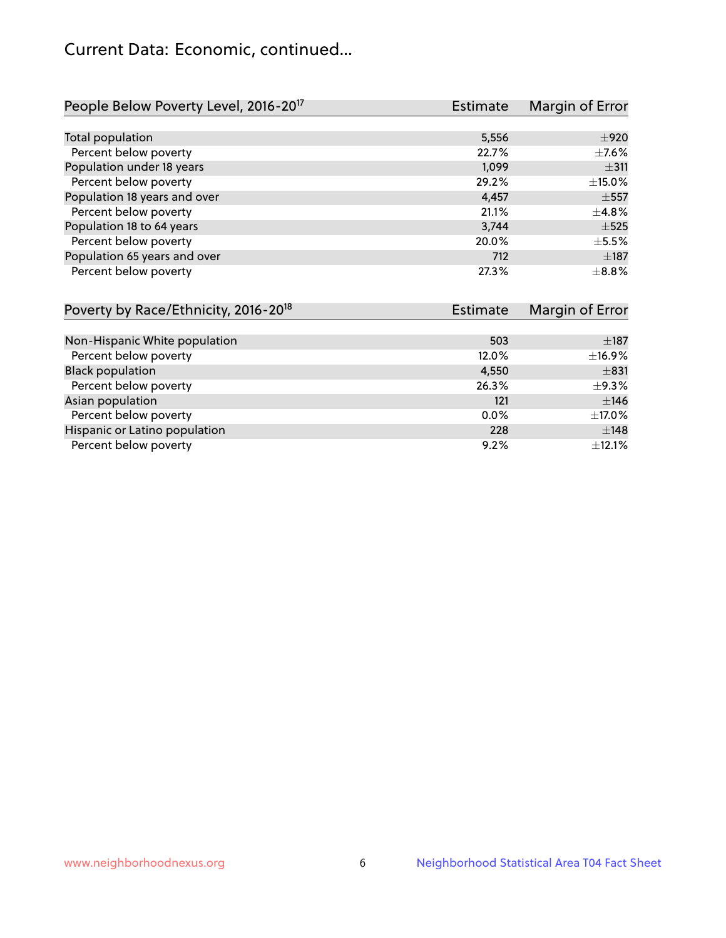# Current Data: Economic, continued...

| People Below Poverty Level, 2016-20 <sup>17</sup> | <b>Estimate</b> | Margin of Error |
|---------------------------------------------------|-----------------|-----------------|
|                                                   |                 |                 |
| Total population                                  | 5,556           | $\pm 920$       |
| Percent below poverty                             | 22.7%           | $\pm$ 7.6%      |
| Population under 18 years                         | 1.099           | ±311            |
| Percent below poverty                             | 29.2%           | ±15.0%          |
| Population 18 years and over                      | 4,457           | $\pm$ 557       |
| Percent below poverty                             | 21.1%           | ±4.8%           |
| Population 18 to 64 years                         | 3,744           | $\pm$ 525       |
| Percent below poverty                             | 20.0%           | $\pm$ 5.5%      |
| Population 65 years and over                      | 712             | $\pm$ 187       |
| Percent below poverty                             | 27.3%           | $\pm$ 8.8%      |

| Poverty by Race/Ethnicity, 2016-20 <sup>18</sup><br><b>Estimate</b> |         | Margin of Error |  |
|---------------------------------------------------------------------|---------|-----------------|--|
|                                                                     |         |                 |  |
| Non-Hispanic White population                                       | 503     | $\pm$ 187       |  |
| Percent below poverty                                               | 12.0%   | ±16.9%          |  |
| <b>Black population</b>                                             | 4,550   | $\pm$ 831       |  |
| Percent below poverty                                               | 26.3%   | $\pm$ 9.3%      |  |
| Asian population                                                    | 121     | ±146            |  |
| Percent below poverty                                               | $0.0\%$ | ±17.0%          |  |
| Hispanic or Latino population                                       | 228     | ±148            |  |
| Percent below poverty                                               | 9.2%    | ±12.1%          |  |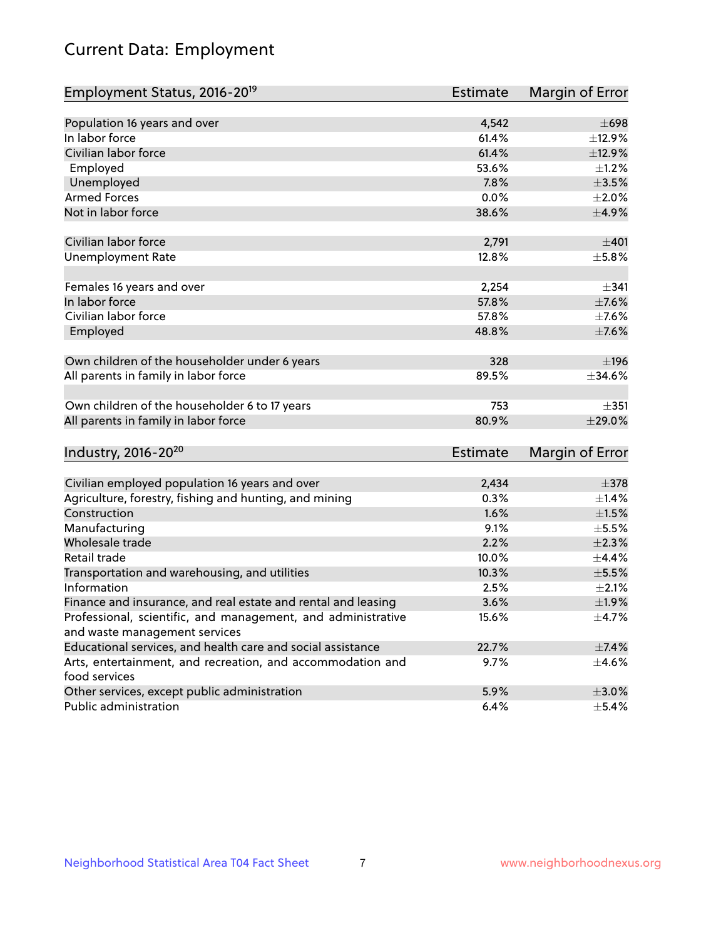# Current Data: Employment

| Employment Status, 2016-20 <sup>19</sup>                      | <b>Estimate</b> | Margin of Error |
|---------------------------------------------------------------|-----------------|-----------------|
| Population 16 years and over                                  | 4,542           | $\pm 698$       |
| In labor force                                                | 61.4%           | ±12.9%          |
| Civilian labor force                                          | 61.4%           | ±12.9%          |
| Employed                                                      | 53.6%           | ±1.2%           |
| Unemployed                                                    | 7.8%            | $\pm 3.5\%$     |
| <b>Armed Forces</b>                                           | 0.0%            | $\pm 2.0\%$     |
| Not in labor force                                            | 38.6%           | $\pm$ 4.9%      |
|                                                               |                 |                 |
| Civilian labor force                                          | 2,791           | $\pm 401$       |
| <b>Unemployment Rate</b>                                      | 12.8%           | $\pm$ 5.8%      |
|                                                               |                 |                 |
| Females 16 years and over                                     | 2,254           | $\pm$ 341       |
| In labor force                                                | 57.8%           | $\pm$ 7.6%      |
| Civilian labor force                                          | 57.8%           | $\pm$ 7.6%      |
| Employed                                                      | 48.8%           | $\pm$ 7.6%      |
|                                                               |                 |                 |
| Own children of the householder under 6 years                 | 328             | ±196            |
| All parents in family in labor force                          | 89.5%           | $\pm$ 34.6%     |
|                                                               |                 |                 |
| Own children of the householder 6 to 17 years                 | 753             | $\pm$ 351       |
| All parents in family in labor force                          | 80.9%           | ±29.0%          |
|                                                               |                 |                 |
| Industry, 2016-20 <sup>20</sup>                               | <b>Estimate</b> | Margin of Error |
|                                                               |                 |                 |
| Civilian employed population 16 years and over                | 2,434           | $\pm$ 378       |
| Agriculture, forestry, fishing and hunting, and mining        | 0.3%            | ±1.4%           |
| Construction                                                  | 1.6%            | $\pm 1.5\%$     |
| Manufacturing                                                 | 9.1%            | $\pm$ 5.5%      |
| Wholesale trade                                               | 2.2%            | $\pm 2.3\%$     |
| Retail trade                                                  | 10.0%           | $\pm$ 4.4%      |
| Transportation and warehousing, and utilities                 | 10.3%           | $\pm$ 5.5%      |
| Information                                                   | 2.5%            | $\pm 2.1\%$     |
| Finance and insurance, and real estate and rental and leasing | 3.6%            | ±1.9%           |
| Professional, scientific, and management, and administrative  | 15.6%           | $\pm$ 4.7%      |
| and waste management services                                 |                 |                 |
| Educational services, and health care and social assistance   | 22.7%           | ±7.4%           |
| Arts, entertainment, and recreation, and accommodation and    | 9.7%            | $\pm$ 4.6%      |
| food services                                                 |                 |                 |
| Other services, except public administration                  | 5.9%            | $\pm 3.0\%$     |
| Public administration                                         | 6.4%            | $\pm$ 5.4%      |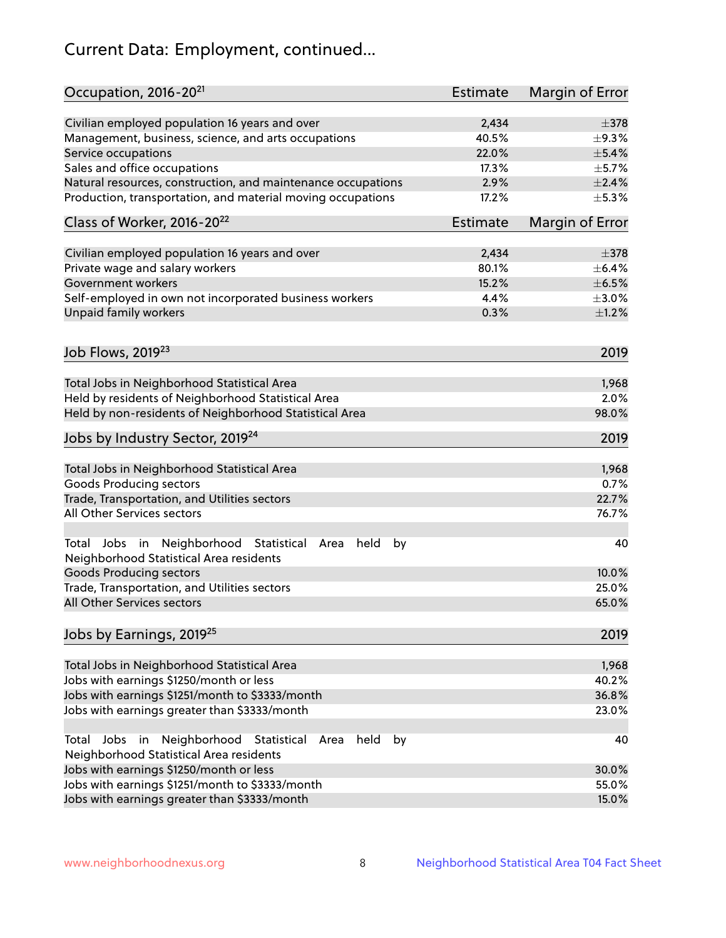# Current Data: Employment, continued...

| Occupation, 2016-20 <sup>21</sup>                                                                       | Estimate | Margin of Error |
|---------------------------------------------------------------------------------------------------------|----------|-----------------|
| Civilian employed population 16 years and over                                                          | 2,434    | $\pm$ 378       |
| Management, business, science, and arts occupations                                                     | 40.5%    | $\pm$ 9.3%      |
| Service occupations                                                                                     | 22.0%    | $\pm$ 5.4%      |
| Sales and office occupations                                                                            | 17.3%    | $\pm$ 5.7%      |
| Natural resources, construction, and maintenance occupations                                            | 2.9%     | $\pm 2.4\%$     |
| Production, transportation, and material moving occupations                                             | 17.2%    | $\pm$ 5.3%      |
| Class of Worker, 2016-20 <sup>22</sup>                                                                  | Estimate | Margin of Error |
| Civilian employed population 16 years and over                                                          | 2,434    | $\pm$ 378       |
| Private wage and salary workers                                                                         | 80.1%    | $\pm$ 6.4%      |
| Government workers                                                                                      | 15.2%    | $\pm$ 6.5%      |
| Self-employed in own not incorporated business workers                                                  | 4.4%     | $\pm 3.0\%$     |
| Unpaid family workers                                                                                   | 0.3%     | $\pm 1.2\%$     |
|                                                                                                         |          |                 |
| Job Flows, 2019 <sup>23</sup>                                                                           |          | 2019            |
| Total Jobs in Neighborhood Statistical Area                                                             |          | 1,968           |
| Held by residents of Neighborhood Statistical Area                                                      |          | 2.0%            |
| Held by non-residents of Neighborhood Statistical Area                                                  |          | 98.0%           |
| Jobs by Industry Sector, 2019 <sup>24</sup>                                                             |          | 2019            |
| Total Jobs in Neighborhood Statistical Area                                                             |          | 1,968           |
| <b>Goods Producing sectors</b>                                                                          |          | 0.7%            |
| Trade, Transportation, and Utilities sectors                                                            |          | 22.7%           |
| All Other Services sectors                                                                              |          | 76.7%           |
| Total Jobs in Neighborhood Statistical<br>held<br>by<br>Area<br>Neighborhood Statistical Area residents |          | 40              |
| <b>Goods Producing sectors</b>                                                                          |          | 10.0%           |
| Trade, Transportation, and Utilities sectors                                                            |          | 25.0%           |
| All Other Services sectors                                                                              |          | 65.0%           |
| Jobs by Earnings, 2019 <sup>25</sup>                                                                    |          | 2019            |
| Total Jobs in Neighborhood Statistical Area                                                             |          | 1,968           |
| Jobs with earnings \$1250/month or less                                                                 |          | 40.2%           |
| Jobs with earnings \$1251/month to \$3333/month                                                         |          | 36.8%           |
| Jobs with earnings greater than \$3333/month                                                            |          | 23.0%           |
| Neighborhood Statistical<br>Jobs<br>in<br>held<br>by<br>Total<br>Area                                   |          | 40              |
| Neighborhood Statistical Area residents                                                                 |          |                 |
| Jobs with earnings \$1250/month or less                                                                 |          | 30.0%           |
| Jobs with earnings \$1251/month to \$3333/month                                                         |          | 55.0%           |
| Jobs with earnings greater than \$3333/month                                                            |          | 15.0%           |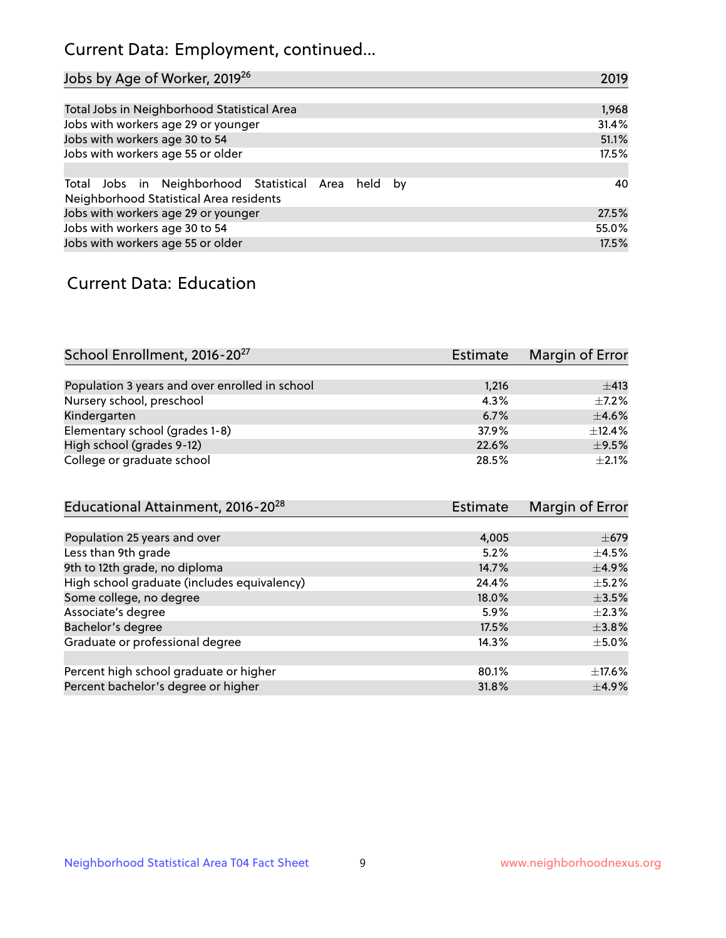# Current Data: Employment, continued...

| Jobs by Age of Worker, 2019 <sup>26</sup>                                                      | 2019  |
|------------------------------------------------------------------------------------------------|-------|
|                                                                                                |       |
| Total Jobs in Neighborhood Statistical Area                                                    | 1,968 |
| Jobs with workers age 29 or younger                                                            | 31.4% |
| Jobs with workers age 30 to 54                                                                 | 51.1% |
| Jobs with workers age 55 or older                                                              | 17.5% |
|                                                                                                |       |
| Total Jobs in Neighborhood Statistical Area held by<br>Neighborhood Statistical Area residents | 40    |
| Jobs with workers age 29 or younger                                                            | 27.5% |
| Jobs with workers age 30 to 54                                                                 | 55.0% |
| Jobs with workers age 55 or older                                                              | 17.5% |

### Current Data: Education

| School Enrollment, 2016-20 <sup>27</sup>       | Estimate | Margin of Error |
|------------------------------------------------|----------|-----------------|
|                                                |          |                 |
| Population 3 years and over enrolled in school | 1,216    | $\pm$ 413       |
| Nursery school, preschool                      | 4.3%     | $+7.2%$         |
| Kindergarten                                   | 6.7%     | $\pm$ 4.6%      |
| Elementary school (grades 1-8)                 | 37.9%    | $+12.4%$        |
| High school (grades 9-12)                      | 22.6%    | $\pm$ 9.5%      |
| College or graduate school                     | 28.5%    | $\pm 2.1\%$     |

| Educational Attainment, 2016-20 <sup>28</sup> | <b>Estimate</b> | Margin of Error |
|-----------------------------------------------|-----------------|-----------------|
|                                               |                 |                 |
| Population 25 years and over                  | 4,005           | $\pm$ 679       |
| Less than 9th grade                           | 5.2%            | $\pm$ 4.5%      |
| 9th to 12th grade, no diploma                 | 14.7%           | $\pm$ 4.9%      |
| High school graduate (includes equivalency)   | 24.4%           | $\pm$ 5.2%      |
| Some college, no degree                       | 18.0%           | $\pm$ 3.5%      |
| Associate's degree                            | 5.9%            | $\pm 2.3\%$     |
| Bachelor's degree                             | 17.5%           | $\pm$ 3.8%      |
| Graduate or professional degree               | 14.3%           | $\pm$ 5.0%      |
|                                               |                 |                 |
| Percent high school graduate or higher        | 80.1%           | $\pm$ 17.6%     |
| Percent bachelor's degree or higher           | 31.8%           | $\pm$ 4.9%      |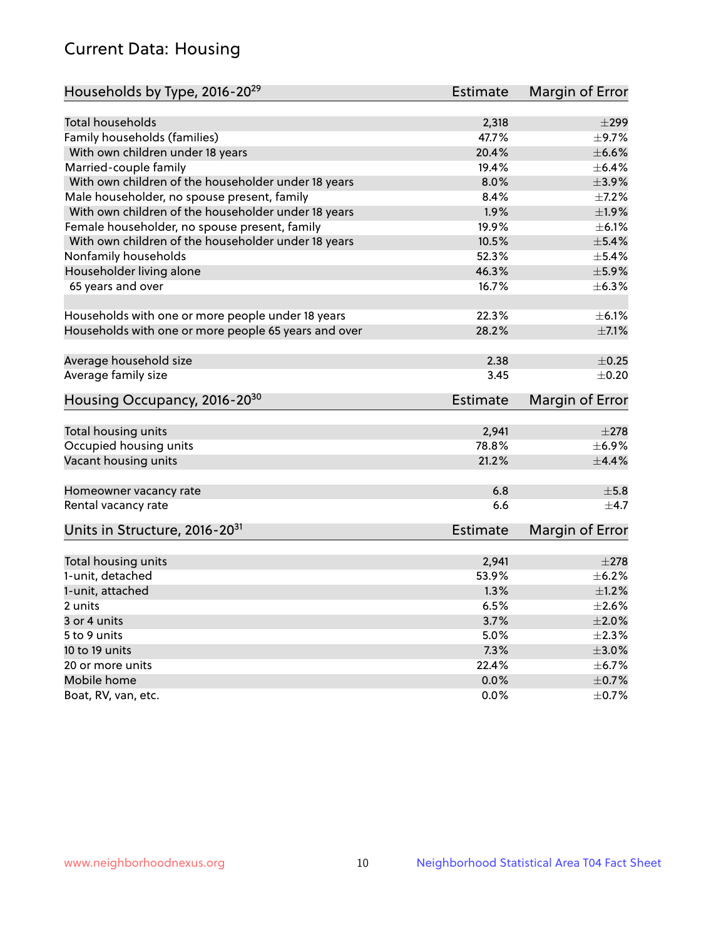# Current Data: Housing

| Households by Type, 2016-20 <sup>29</sup>            | <b>Estimate</b> | Margin of Error |
|------------------------------------------------------|-----------------|-----------------|
|                                                      |                 |                 |
| <b>Total households</b>                              | 2,318           | $\pm 299$       |
| Family households (families)                         | 47.7%           | $\pm$ 9.7%      |
| With own children under 18 years                     | 20.4%           | $\pm$ 6.6%      |
| Married-couple family                                | 19.4%           | $\pm$ 6.4%      |
| With own children of the householder under 18 years  | 8.0%            | $\pm$ 3.9%      |
| Male householder, no spouse present, family          | 8.4%            | $\pm$ 7.2%      |
| With own children of the householder under 18 years  | 1.9%            | ±1.9%           |
| Female householder, no spouse present, family        | 19.9%           | $\pm$ 6.1%      |
| With own children of the householder under 18 years  | 10.5%           | $\pm$ 5.4%      |
| Nonfamily households                                 | 52.3%           | $\pm$ 5.4%      |
| Householder living alone                             | 46.3%           | $\pm$ 5.9%      |
| 65 years and over                                    | 16.7%           | $\pm$ 6.3%      |
|                                                      |                 |                 |
| Households with one or more people under 18 years    | 22.3%           | $\pm$ 6.1%      |
| Households with one or more people 65 years and over | 28.2%           | $\pm$ 7.1%      |
|                                                      |                 |                 |
| Average household size                               | 2.38            | $\pm$ 0.25      |
| Average family size                                  | 3.45            | $\pm$ 0.20      |
| Housing Occupancy, 2016-20 <sup>30</sup>             | <b>Estimate</b> | Margin of Error |
| Total housing units                                  | 2,941           | $\pm 278$       |
| Occupied housing units                               | 78.8%           | $\pm$ 6.9%      |
| Vacant housing units                                 | 21.2%           | $\pm$ 4.4%      |
|                                                      |                 |                 |
| Homeowner vacancy rate                               | 6.8             | $\pm$ 5.8       |
| Rental vacancy rate                                  | 6.6             | $\pm$ 4.7       |
| Units in Structure, 2016-20 <sup>31</sup>            | <b>Estimate</b> | Margin of Error |
|                                                      |                 |                 |
| Total housing units                                  | 2,941           | $\pm 278$       |
| 1-unit, detached                                     | 53.9%           | $\pm$ 6.2%      |
| 1-unit, attached                                     | 1.3%            | $\pm 1.2\%$     |
| 2 units                                              | 6.5%            | $\pm 2.6\%$     |
| 3 or 4 units                                         | 3.7%            | $\pm 2.0\%$     |
| 5 to 9 units                                         | 5.0%            | $\pm 2.3\%$     |
| 10 to 19 units                                       | 7.3%            | $\pm 3.0\%$     |
| 20 or more units                                     | 22.4%           | $\pm$ 6.7%      |
| Mobile home                                          | 0.0%            | $\pm$ 0.7%      |
| Boat, RV, van, etc.                                  | $0.0\%$         | $\pm$ 0.7%      |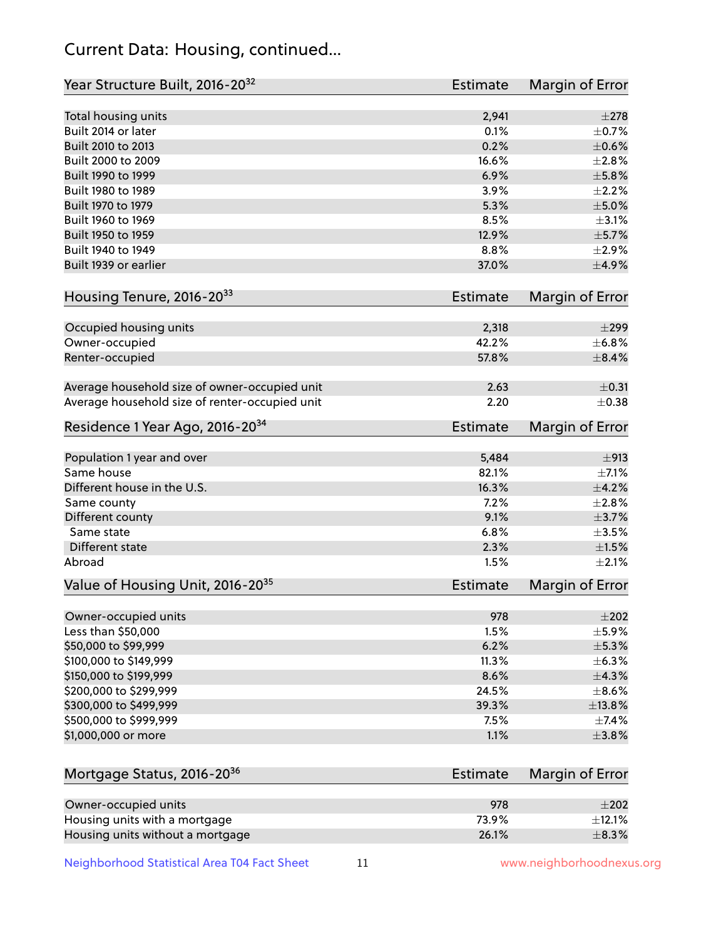# Current Data: Housing, continued...

| Year Structure Built, 2016-20 <sup>32</sup>    | <b>Estimate</b> | Margin of Error |
|------------------------------------------------|-----------------|-----------------|
| Total housing units                            | 2,941           | $\pm 278$       |
| Built 2014 or later                            | 0.1%            | $\pm$ 0.7%      |
| Built 2010 to 2013                             | 0.2%            | $\pm$ 0.6%      |
| Built 2000 to 2009                             | 16.6%           | $\pm 2.8\%$     |
| Built 1990 to 1999                             | 6.9%            | $\pm$ 5.8%      |
| Built 1980 to 1989                             | 3.9%            | $\pm 2.2\%$     |
| Built 1970 to 1979                             | 5.3%            | $\pm$ 5.0%      |
| Built 1960 to 1969                             | 8.5%            | $\pm$ 3.1%      |
| Built 1950 to 1959                             | 12.9%           | ±5.7%           |
| Built 1940 to 1949                             | 8.8%            | $\pm 2.9\%$     |
| Built 1939 or earlier                          | 37.0%           | $\pm$ 4.9%      |
| Housing Tenure, 2016-2033                      | <b>Estimate</b> | Margin of Error |
| Occupied housing units                         | 2,318           | $\pm$ 299       |
| Owner-occupied                                 | 42.2%           | ±6.8%           |
| Renter-occupied                                | 57.8%           | $\pm$ 8.4%      |
|                                                |                 |                 |
| Average household size of owner-occupied unit  | 2.63            | $\pm$ 0.31      |
| Average household size of renter-occupied unit | 2.20            | $\pm$ 0.38      |
| Residence 1 Year Ago, 2016-20 <sup>34</sup>    | <b>Estimate</b> | Margin of Error |
| Population 1 year and over                     | 5,484           | ±913            |
| Same house                                     | 82.1%           | $\pm$ 7.1%      |
| Different house in the U.S.                    | 16.3%           | $\pm$ 4.2%      |
| Same county                                    | 7.2%            | $\pm 2.8\%$     |
| Different county                               | 9.1%            | $\pm$ 3.7%      |
| Same state                                     | 6.8%            | $\pm$ 3.5%      |
| Different state                                | 2.3%            | $\pm1.5\%$      |
| Abroad                                         | 1.5%            | $\pm 2.1\%$     |
| Value of Housing Unit, 2016-20 <sup>35</sup>   | <b>Estimate</b> | Margin of Error |
| Owner-occupied units                           | 978             | $\pm 202$       |
| Less than \$50,000                             | 1.5%            | $\pm$ 5.9%      |
| \$50,000 to \$99,999                           | 6.2%            | $\pm$ 5.3%      |
| \$100,000 to \$149,999                         | 11.3%           | $\pm$ 6.3%      |
| \$150,000 to \$199,999                         | 8.6%            | ±4.3%           |
| \$200,000 to \$299,999                         | 24.5%           | $\pm$ 8.6%      |
| \$300,000 to \$499,999                         | 39.3%           | ±13.8%          |
| \$500,000 to \$999,999                         | 7.5%            | $\pm$ 7.4%      |
| \$1,000,000 or more                            | 1.1%            | $\pm$ 3.8%      |
| Mortgage Status, 2016-20 <sup>36</sup>         | <b>Estimate</b> | Margin of Error |
|                                                |                 |                 |
| Owner-occupied units                           | 978             | $\pm 202$       |
| Housing units with a mortgage                  | 73.9%           | $\pm$ 12.1%     |
| Housing units without a mortgage               | 26.1%           | $\pm$ 8.3%      |

Neighborhood Statistical Area T04 Fact Sheet 11 11 www.neighborhoodnexus.org

Housing units without a mortgage 26.1%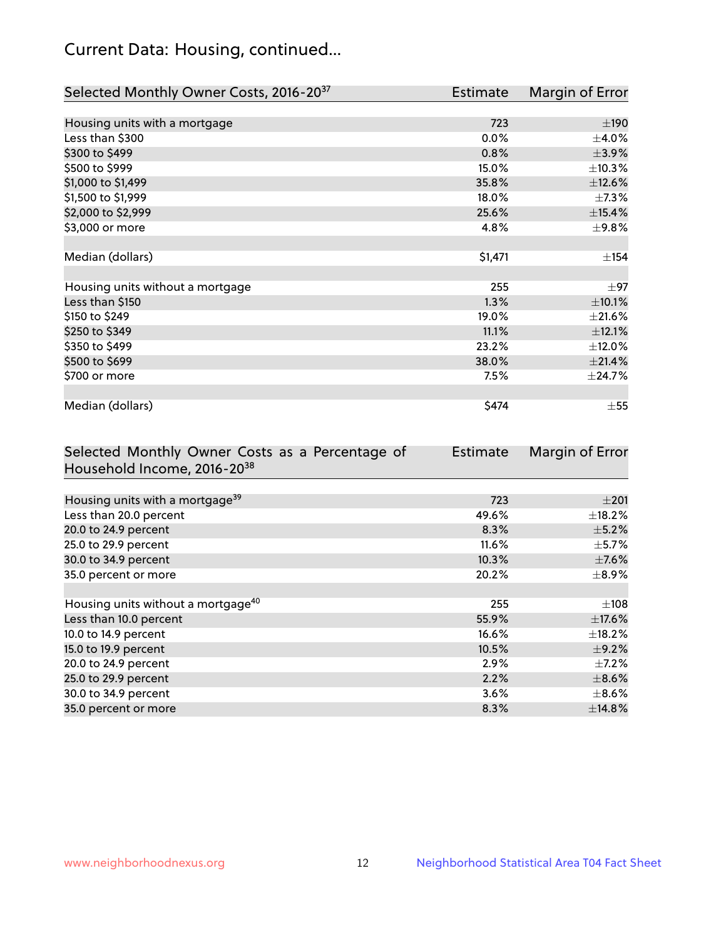# Current Data: Housing, continued...

| Selected Monthly Owner Costs, 2016-20 <sup>37</sup> | <b>Estimate</b> | Margin of Error |
|-----------------------------------------------------|-----------------|-----------------|
|                                                     |                 |                 |
| Housing units with a mortgage                       | 723             | ±190            |
| Less than \$300                                     | 0.0%            | $\pm 4.0\%$     |
| \$300 to \$499                                      | 0.8%            | $\pm$ 3.9%      |
| \$500 to \$999                                      | 15.0%           | ±10.3%          |
| \$1,000 to \$1,499                                  | 35.8%           | ±12.6%          |
| \$1,500 to \$1,999                                  | 18.0%           | $\pm$ 7.3%      |
| \$2,000 to \$2,999                                  | 25.6%           | $\pm$ 15.4%     |
| \$3,000 or more                                     | 4.8%            | ±9.8%           |
|                                                     |                 |                 |
| Median (dollars)                                    | \$1,471         | $\pm$ 154       |
|                                                     |                 |                 |
| Housing units without a mortgage                    | 255             | $\pm$ 97        |
| Less than \$150                                     | 1.3%            | $\pm 10.1\%$    |
| \$150 to \$249                                      | 19.0%           | $\pm 21.6\%$    |
| \$250 to \$349                                      | 11.1%           | ±12.1%          |
| \$350 to \$499                                      | 23.2%           | ±12.0%          |
| \$500 to \$699                                      | 38.0%           | $\pm 21.4\%$    |
| \$700 or more                                       | 7.5%            | ±24.7%          |
|                                                     |                 |                 |
| Median (dollars)                                    | \$474           | $\pm$ 55        |

| Selected Monthly Owner Costs as a Percentage of | <b>Estimate</b> | Margin of Error |
|-------------------------------------------------|-----------------|-----------------|
| Household Income, 2016-20 <sup>38</sup>         |                 |                 |
|                                                 |                 |                 |
| Housing units with a mortgage <sup>39</sup>     | 723             | $\pm 201$       |
| Less than 20.0 percent                          | 49.6%           | $\pm$ 18.2%     |
| 20.0 to 24.9 percent                            | 8.3%            | $\pm$ 5.2%      |
| 25.0 to 29.9 percent                            | 11.6%           | $\pm$ 5.7%      |
| 30.0 to 34.9 percent                            | 10.3%           | $\pm$ 7.6%      |
| 35.0 percent or more                            | 20.2%           | $\pm$ 8.9%      |
|                                                 |                 |                 |
| Housing units without a mortgage <sup>40</sup>  | 255             | $\pm 108$       |
| Less than 10.0 percent                          | 55.9%           | $\pm$ 17.6%     |
| 10.0 to 14.9 percent                            | 16.6%           | $\pm$ 18.2%     |
| 15.0 to 19.9 percent                            | 10.5%           | $\pm$ 9.2%      |
| 20.0 to 24.9 percent                            | 2.9%            | $\pm$ 7.2%      |
| 25.0 to 29.9 percent                            | 2.2%            | $\pm$ 8.6%      |
| 30.0 to 34.9 percent                            | 3.6%            | $\pm$ 8.6%      |
| 35.0 percent or more                            | 8.3%            | ±14.8%          |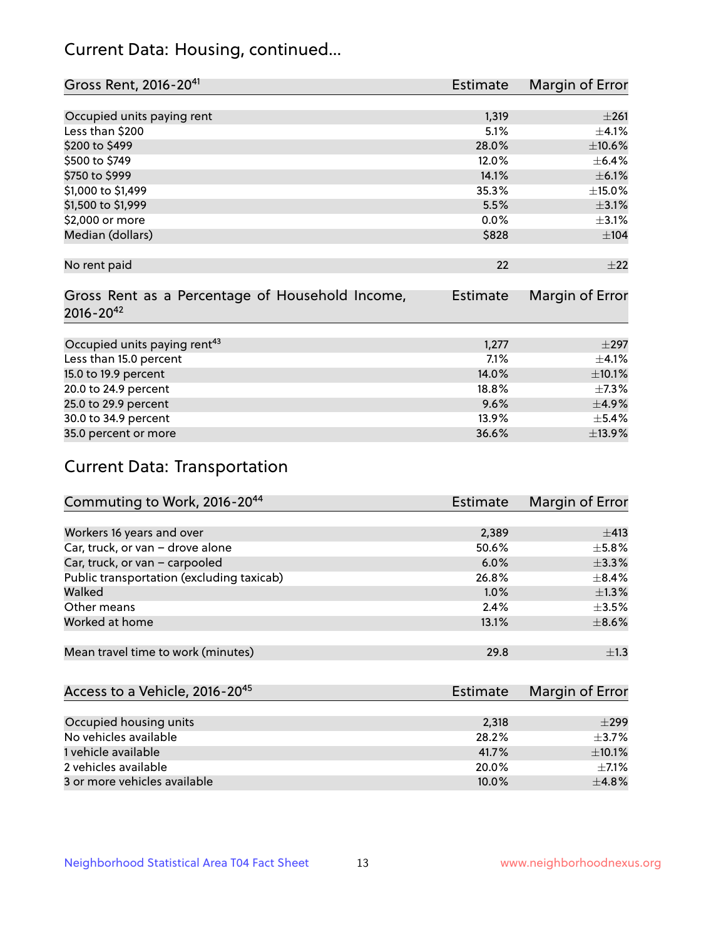# Current Data: Housing, continued...

| Gross Rent, 2016-20 <sup>41</sup>               | <b>Estimate</b> | Margin of Error |
|-------------------------------------------------|-----------------|-----------------|
|                                                 |                 |                 |
| Occupied units paying rent                      | 1,319           | ±261            |
| Less than \$200                                 | 5.1%            | $\pm$ 4.1%      |
| \$200 to \$499                                  | 28.0%           | $\pm 10.6\%$    |
| \$500 to \$749                                  | 12.0%           | $\pm$ 6.4%      |
| \$750 to \$999                                  | 14.1%           | $\pm$ 6.1%      |
| \$1,000 to \$1,499                              | 35.3%           | $\pm$ 15.0%     |
| \$1,500 to \$1,999                              | 5.5%            | $\pm$ 3.1%      |
| \$2,000 or more                                 | 0.0%            | $\pm$ 3.1%      |
| Median (dollars)                                | \$828           | $\pm 104$       |
|                                                 |                 |                 |
| No rent paid                                    | 22              | ±22             |
|                                                 |                 |                 |
| Gross Rent as a Percentage of Household Income, | <b>Estimate</b> | Margin of Error |
| $2016 - 20^{42}$                                |                 |                 |
|                                                 |                 |                 |
| Occupied units paying rent <sup>43</sup>        | 1,277           | $+297$          |
| Less than 15.0 percent                          | 7.1%            | $\pm$ 4.1%      |
| 15.0 to 19.9 percent                            | 14.0%           | $\pm 10.1\%$    |
| 20.0 to 24.9 percent                            | 18.8%           | $\pm$ 7.3%      |
| 25.0 to 29.9 percent                            | 9.6%            | $\pm$ 4.9%      |
| 30.0 to 34.9 percent                            | 13.9%           | $\pm$ 5.4%      |
| 35.0 percent or more                            | 36.6%           | ±13.9%          |

# Current Data: Transportation

| Commuting to Work, 2016-20 <sup>44</sup>  | <b>Estimate</b> | Margin of Error |
|-------------------------------------------|-----------------|-----------------|
|                                           |                 |                 |
| Workers 16 years and over                 | 2,389           | ±413            |
| Car, truck, or van - drove alone          | 50.6%           | $\pm$ 5.8%      |
| Car, truck, or van - carpooled            | $6.0\%$         | $\pm$ 3.3%      |
| Public transportation (excluding taxicab) | 26.8%           | $\pm$ 8.4%      |
| Walked                                    | 1.0%            | $\pm 1.3\%$     |
| Other means                               | 2.4%            | $\pm 3.5\%$     |
| Worked at home                            | 13.1%           | $\pm$ 8.6%      |
|                                           |                 |                 |
| Mean travel time to work (minutes)        | 29.8            | $\pm 1.3$       |

| Access to a Vehicle, 2016-20 <sup>45</sup> | Estimate | Margin of Error |
|--------------------------------------------|----------|-----------------|
|                                            |          |                 |
| Occupied housing units                     | 2,318    | $\pm$ 299       |
| No vehicles available                      | 28.2%    | $+3.7%$         |
| 1 vehicle available                        | 41.7%    | $\pm$ 10.1%     |
| 2 vehicles available                       | 20.0%    | $+7.1%$         |
| 3 or more vehicles available               | 10.0%    | $+4.8%$         |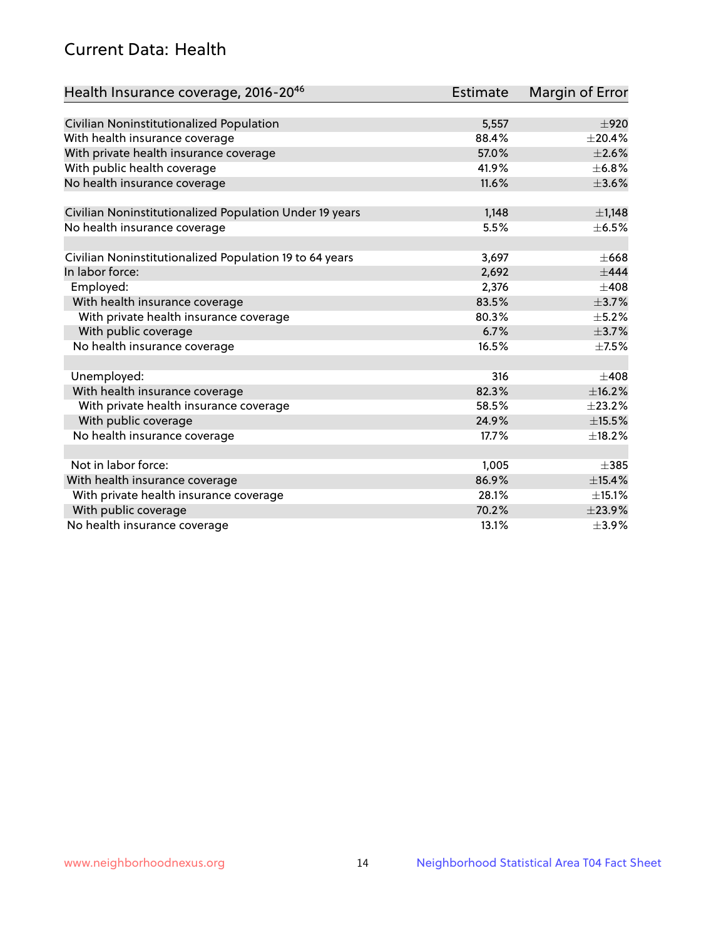# Current Data: Health

| Health Insurance coverage, 2016-2046                    | <b>Estimate</b> | Margin of Error |
|---------------------------------------------------------|-----------------|-----------------|
|                                                         |                 |                 |
| Civilian Noninstitutionalized Population                | 5,557           | $\pm 920$       |
| With health insurance coverage                          | 88.4%           | $\pm 20.4\%$    |
| With private health insurance coverage                  | 57.0%           | $\pm 2.6\%$     |
| With public health coverage                             | 41.9%           | $\pm$ 6.8%      |
| No health insurance coverage                            | 11.6%           | $\pm 3.6\%$     |
| Civilian Noninstitutionalized Population Under 19 years | 1,148           | $\pm$ 1,148     |
| No health insurance coverage                            | 5.5%            | $\pm$ 6.5%      |
|                                                         |                 |                 |
| Civilian Noninstitutionalized Population 19 to 64 years | 3,697           | $\pm 668$       |
| In labor force:                                         | 2,692           | $\pm$ 444       |
| Employed:                                               | 2,376           | $\pm 408$       |
| With health insurance coverage                          | 83.5%           | $\pm$ 3.7%      |
| With private health insurance coverage                  | 80.3%           | $\pm$ 5.2%      |
| With public coverage                                    | 6.7%            | $\pm$ 3.7%      |
| No health insurance coverage                            | 16.5%           | $\pm$ 7.5%      |
|                                                         |                 |                 |
| Unemployed:                                             | 316             | $+408$          |
| With health insurance coverage                          | 82.3%           | ±16.2%          |
| With private health insurance coverage                  | 58.5%           | ±23.2%          |
| With public coverage                                    | 24.9%           | $\pm$ 15.5%     |
| No health insurance coverage                            | 17.7%           | ±18.2%          |
|                                                         |                 |                 |
| Not in labor force:                                     | 1,005           | $\pm$ 385       |
| With health insurance coverage                          | 86.9%           | ±15.4%          |
| With private health insurance coverage                  | 28.1%           | ±15.1%          |
| With public coverage                                    | 70.2%           | ±23.9%          |
| No health insurance coverage                            | 13.1%           | $\pm$ 3.9%      |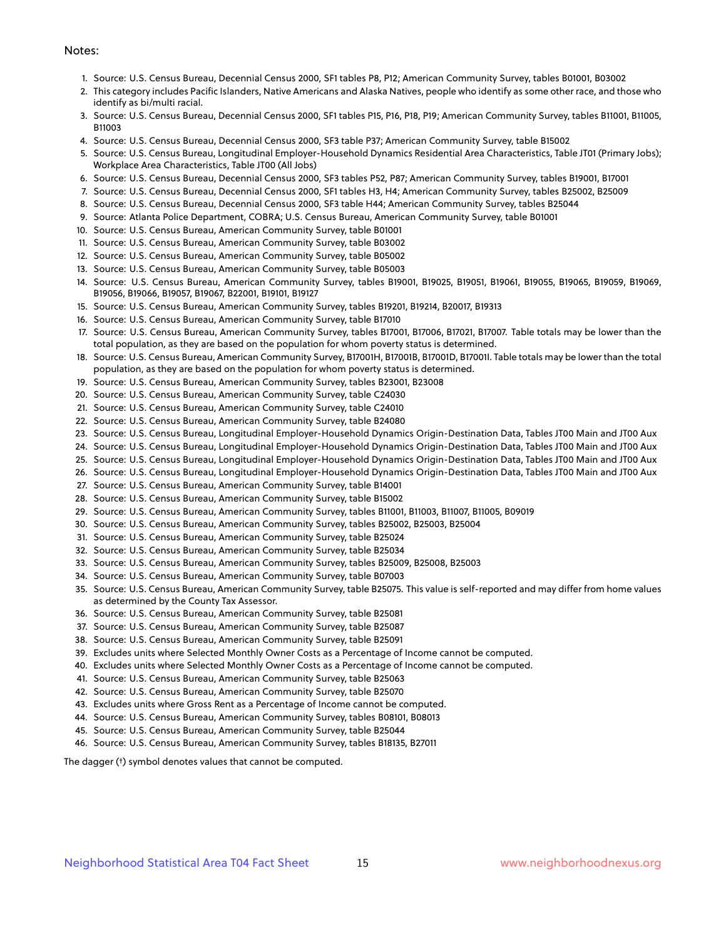#### Notes:

- 1. Source: U.S. Census Bureau, Decennial Census 2000, SF1 tables P8, P12; American Community Survey, tables B01001, B03002
- 2. This category includes Pacific Islanders, Native Americans and Alaska Natives, people who identify as some other race, and those who identify as bi/multi racial.
- 3. Source: U.S. Census Bureau, Decennial Census 2000, SF1 tables P15, P16, P18, P19; American Community Survey, tables B11001, B11005, B11003
- 4. Source: U.S. Census Bureau, Decennial Census 2000, SF3 table P37; American Community Survey, table B15002
- 5. Source: U.S. Census Bureau, Longitudinal Employer-Household Dynamics Residential Area Characteristics, Table JT01 (Primary Jobs); Workplace Area Characteristics, Table JT00 (All Jobs)
- 6. Source: U.S. Census Bureau, Decennial Census 2000, SF3 tables P52, P87; American Community Survey, tables B19001, B17001
- 7. Source: U.S. Census Bureau, Decennial Census 2000, SF1 tables H3, H4; American Community Survey, tables B25002, B25009
- 8. Source: U.S. Census Bureau, Decennial Census 2000, SF3 table H44; American Community Survey, tables B25044
- 9. Source: Atlanta Police Department, COBRA; U.S. Census Bureau, American Community Survey, table B01001
- 10. Source: U.S. Census Bureau, American Community Survey, table B01001
- 11. Source: U.S. Census Bureau, American Community Survey, table B03002
- 12. Source: U.S. Census Bureau, American Community Survey, table B05002
- 13. Source: U.S. Census Bureau, American Community Survey, table B05003
- 14. Source: U.S. Census Bureau, American Community Survey, tables B19001, B19025, B19051, B19061, B19055, B19065, B19059, B19069, B19056, B19066, B19057, B19067, B22001, B19101, B19127
- 15. Source: U.S. Census Bureau, American Community Survey, tables B19201, B19214, B20017, B19313
- 16. Source: U.S. Census Bureau, American Community Survey, table B17010
- 17. Source: U.S. Census Bureau, American Community Survey, tables B17001, B17006, B17021, B17007. Table totals may be lower than the total population, as they are based on the population for whom poverty status is determined.
- 18. Source: U.S. Census Bureau, American Community Survey, B17001H, B17001B, B17001D, B17001I. Table totals may be lower than the total population, as they are based on the population for whom poverty status is determined.
- 19. Source: U.S. Census Bureau, American Community Survey, tables B23001, B23008
- 20. Source: U.S. Census Bureau, American Community Survey, table C24030
- 21. Source: U.S. Census Bureau, American Community Survey, table C24010
- 22. Source: U.S. Census Bureau, American Community Survey, table B24080
- 23. Source: U.S. Census Bureau, Longitudinal Employer-Household Dynamics Origin-Destination Data, Tables JT00 Main and JT00 Aux
- 24. Source: U.S. Census Bureau, Longitudinal Employer-Household Dynamics Origin-Destination Data, Tables JT00 Main and JT00 Aux
- 25. Source: U.S. Census Bureau, Longitudinal Employer-Household Dynamics Origin-Destination Data, Tables JT00 Main and JT00 Aux
- 26. Source: U.S. Census Bureau, Longitudinal Employer-Household Dynamics Origin-Destination Data, Tables JT00 Main and JT00 Aux
- 27. Source: U.S. Census Bureau, American Community Survey, table B14001
- 28. Source: U.S. Census Bureau, American Community Survey, table B15002
- 29. Source: U.S. Census Bureau, American Community Survey, tables B11001, B11003, B11007, B11005, B09019
- 30. Source: U.S. Census Bureau, American Community Survey, tables B25002, B25003, B25004
- 31. Source: U.S. Census Bureau, American Community Survey, table B25024
- 32. Source: U.S. Census Bureau, American Community Survey, table B25034
- 33. Source: U.S. Census Bureau, American Community Survey, tables B25009, B25008, B25003
- 34. Source: U.S. Census Bureau, American Community Survey, table B07003
- 35. Source: U.S. Census Bureau, American Community Survey, table B25075. This value is self-reported and may differ from home values as determined by the County Tax Assessor.
- 36. Source: U.S. Census Bureau, American Community Survey, table B25081
- 37. Source: U.S. Census Bureau, American Community Survey, table B25087
- 38. Source: U.S. Census Bureau, American Community Survey, table B25091
- 39. Excludes units where Selected Monthly Owner Costs as a Percentage of Income cannot be computed.
- 40. Excludes units where Selected Monthly Owner Costs as a Percentage of Income cannot be computed.
- 41. Source: U.S. Census Bureau, American Community Survey, table B25063
- 42. Source: U.S. Census Bureau, American Community Survey, table B25070
- 43. Excludes units where Gross Rent as a Percentage of Income cannot be computed.
- 44. Source: U.S. Census Bureau, American Community Survey, tables B08101, B08013
- 45. Source: U.S. Census Bureau, American Community Survey, table B25044
- 46. Source: U.S. Census Bureau, American Community Survey, tables B18135, B27011

The dagger (†) symbol denotes values that cannot be computed.